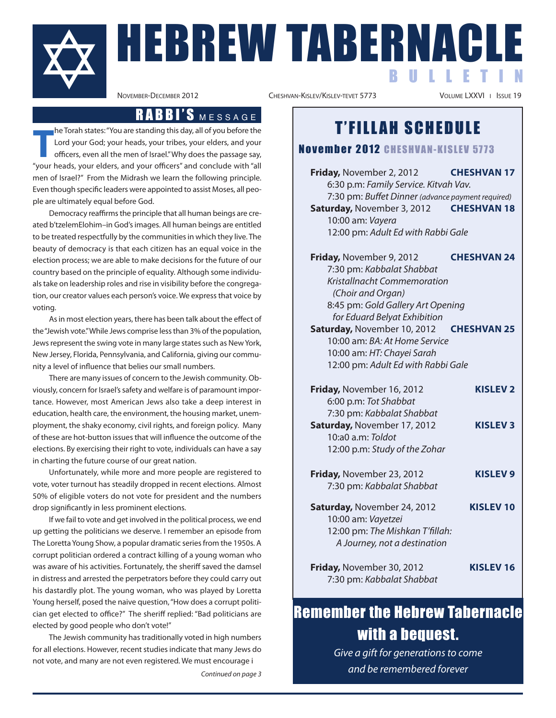

NACLE<br>NOVEMBER-DECEMBER 2012<br>NOVEMBER-DECEMBER 2012

he Torah states:"You are standing this day, all of you before the Lord your God; your heads, your tribes, your elders, and your

RABBI'S MESSAGE

CHESHVAN-KISLEV/KISLEV-TEVET 5773

B U L L E T I N

# **T'FILLAH SCHEDULE**

November 2012 CHESHVAN-KISLEV 5773

**The Torah states: "You are standing this day, all of you before the Lord your God; your heads, your tribes, your elders, and your officers, even all the men of Israel." Why does the passage say, "your heads, your elders,** officers, even all the men of Israel." Why does the passage say, men of Israel?" From the Midrash we learn the following principle. Even though specific leaders were appointed to assist Moses, all people are ultimately equal before God.

Democracy reaffirms the principle that all human beings are created b'tzelemElohim–in God's images. All human beings are entitled to be treated respectfully by the communities in which they live. The beauty of democracy is that each citizen has an equal voice in the election process; we are able to make decisions for the future of our country based on the principle of equality. Although some individuals take on leadership roles and rise in visibility before the congregation, our creator values each person's voice. We express that voice by voting.

As in most election years, there has been talk about the effect of the"Jewish vote."While Jews comprise less than 3% of the population, Jews represent the swing vote in many large states such as New York, New Jersey, Florida, Pennsylvania, and California, giving our community a level of influence that belies our small numbers.

There are many issues of concern to the Jewish community. Obviously, concern for Israel's safety and welfare is of paramount importance. However, most American Jews also take a deep interest in education, health care, the environment, the housing market, unemployment, the shaky economy, civil rights, and foreign policy. Many of these are hot-button issues that will influence the outcome of the elections. By exercising their right to vote, individuals can have a say in charting the future course of our great nation.

Unfortunately, while more and more people are registered to vote, voter turnout has steadily dropped in recent elections. Almost 50% of eligible voters do not vote for president and the numbers drop significantly in less prominent elections.

If we fail to vote and get involved in the political process, we end up getting the politicians we deserve. I remember an episode from The Loretta Young Show, a popular dramatic series from the 1950s. A corrupt politician ordered a contract killing of a young woman who was aware of his activities. Fortunately, the sheriff saved the damsel in distress and arrested the perpetrators before they could carry out his dastardly plot. The young woman, who was played by Loretta Young herself, posed the naive question, "How does a corrupt politician get elected to office?" The sheriff replied: "Bad politicians are elected by good people who don't vote!"

The Jewish community has traditionally voted in high numbers for all elections. However, recent studies indicate that many Jews do not vote, and many are not even registered. We must encourage i

Continued on page 3

### **Friday,** November 2, 2012 **CHESHVAN 17** 6:30 p.m: Family Service. Kitvah Vav. 7:30 pm: Buffet Dinner (advance payment required) **Saturday,** November 3, 2012 **CHESHVAN 18**

10:00 am: Vayera 12:00 pm: Adult Ed with Rabbi Gale

**Friday,** November 9, 2012 **CHESHVAN 24** 7:30 pm: Kabbalat Shabbat Kristallnacht Commemoration (Choir and Organ) 8:45 pm: Gold Gallery Art Opening for Eduard Belyat Exhibition **Saturday,** November 10, 2012 **CHESHVAN 25** 10:00 am: BA: At Home Service 10:00 am: HT: Chayei Sarah 12:00 pm: Adult Ed with Rabbi Gale

**Friday,** November 16, 2012 **KISLEV 2** 6:00 p.m: Tot Shabbat 7:30 pm: Kabbalat Shabbat **Saturday, November 17, 2012 KISLEV 3** 10:a0 a.m: Toldot

12:00 p.m: Study of the Zohar **Friday,** November 23, 2012 **KISLEV 9** 7:30 pm: Kabbalat Shabbat

- **Saturday,** November 24, 2012 **KISLEV 10** 10:00 am: Vayetzei 12:00 pm: The Mishkan T'fillah: A Journey, not a destination
- **Friday,** November 30, 2012 **KISLEV 16** 7:30 pm: Kabbalat Shabbat

# Remember the Hebrew Tabernacle with a bequest.

Give a gift for generations to come and be remembered forever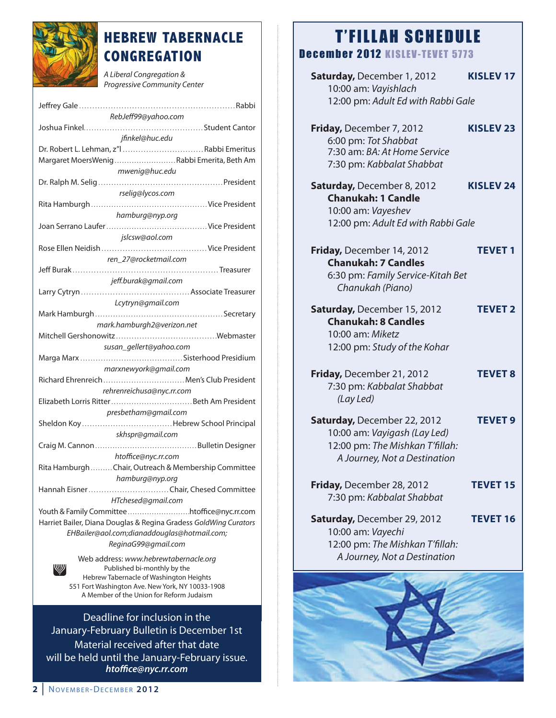

# **HEBREW TABERNACLE CONGREGATION**

A Liberal Congregation & Progressive Community Center

| RebJeff99@yahoo.com                                              |
|------------------------------------------------------------------|
|                                                                  |
| ifinkel@huc.edu                                                  |
| Dr. Robert L. Lehman, z"l Rabbi Emeritus                         |
| Margaret MoersWenigRabbi Emerita, Beth Am                        |
| mwenig@huc.edu                                                   |
|                                                                  |
|                                                                  |
| rselig@lycos.com                                                 |
|                                                                  |
| hamburg@nyp.org                                                  |
|                                                                  |
| jslcsw@aol.com                                                   |
|                                                                  |
| ren_27@rocketmail.com                                            |
|                                                                  |
| jeff.burak@gmail.com                                             |
|                                                                  |
|                                                                  |
| Lcytryn@gmail.com                                                |
|                                                                  |
| mark.hamburgh2@verizon.net                                       |
|                                                                  |
| susan_gellert@yahoo.com                                          |
|                                                                  |
| marxnewyork@gmail.com                                            |
| Richard Ehrenreich  Men's Club President                         |
| rehrenreichusa@nyc.rr.com                                        |
|                                                                  |
| presbetham@gmail.com                                             |
|                                                                  |
|                                                                  |
| skhspr@gmail.com                                                 |
|                                                                  |
| htoffice@nyc.rr.com                                              |
| Rita Hamburgh Chair, Outreach & Membership Committee             |
| hamburg@nyp.org                                                  |
| Hannah Eisner Chair, Chesed Committee                            |
| HTchesed@gmail.com                                               |
| Youth & Family Committeehtoffice@nyc.rr.com                      |
|                                                                  |
| Harriet Bailer, Diana Douglas & Regina Gradess GoldWing Curators |
| EHBailer@aol.com;dianaddouglas@hotmail.com;                      |
| ReginaG99@gmail.com                                              |
| Web address: www.hebrewtabernacle.org                            |
| W<br>Published bi-monthly by the                                 |

Hebrew Tabernacle of Washington Heights 551 Fort Washington Ave. New York, NY 10033-1908 A Member of the Union for Reform Judaism

Deadline for inclusion in the January-February Bulletin is December 1st Material received after that date will be held until the January-February issue. *htoce@nyc.rr.com*

# **T'FILLAH SCHEDULE**

December 2012 KISLEV-TEVET 5773

| Saturday, December 1, 2012<br>10:00 am: Vayishlach<br>12:00 pm: Adult Ed with Rabbi Gale                                       | <b>KISLEV 17</b> |
|--------------------------------------------------------------------------------------------------------------------------------|------------------|
| Friday, December 7, 2012<br>6:00 pm: Tot Shabbat<br>7:30 am: BA: At Home Service<br>7:30 pm: Kabbalat Shabbat                  | <b>KISLEV 23</b> |
| Saturday, December 8, 2012<br><b>Chanukah: 1 Candle</b><br>10:00 am: Vayeshev<br>12:00 pm: Adult Ed with Rabbi Gale            | <b>KISLEV 24</b> |
| Friday, December 14, 2012<br><b>Chanukah: 7 Candles</b><br>6:30 pm: Family Service-Kitah Bet<br>Chanukah (Piano)               | <b>TEVET 1</b>   |
| Saturday, December 15, 2012<br><b>Chanukah: 8 Candles</b><br>10:00 am: Miketz<br>12:00 pm: Study of the Kohar                  | <b>TEVET 2</b>   |
| Friday, December 21, 2012<br>7:30 pm: Kabbalat Shabbat<br>(Lay Led)                                                            | <b>TEVET 8</b>   |
| Saturday, December 22, 2012<br>10:00 am: Vayigash (Lay Led)<br>12:00 pm: The Mishkan T'fillah:<br>A Journey, Not a Destination | <b>TEVET 9</b>   |
| Friday, December 28, 2012<br>7:30 pm: Kabbalat Shabbat                                                                         | <b>TEVET 15</b>  |
| Saturday, December 29, 2012<br>10:00 am: Vayechi<br>12:00 pm: The Mishkan T'fillah:<br>A Journey, Not a Destination            | <b>TEVET 16</b>  |
|                                                                                                                                |                  |

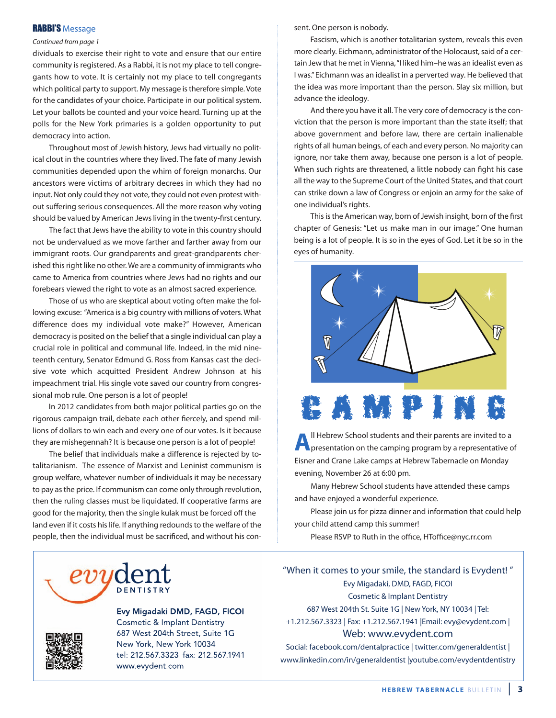#### RABBI'S Message

#### Continued from page 1

dividuals to exercise their right to vote and ensure that our entire community is registered. As a Rabbi, it is not my place to tell congregants how to vote. It is certainly not my place to tell congregants which political party to support. My message is therefore simple. Vote for the candidates of your choice. Participate in our political system. Let your ballots be counted and your voice heard. Turning up at the polls for the New York primaries is a golden opportunity to put democracy into action.

Throughout most of Jewish history, Jews had virtually no political clout in the countries where they lived. The fate of many Jewish communities depended upon the whim of foreign monarchs. Our ancestors were victims of arbitrary decrees in which they had no input. Not only could they not vote, they could not even protest without suffering serious consequences. All the more reason why voting should be valued by American Jews living in the twenty-first century.

The fact that Jews have the ability to vote in this country should not be undervalued as we move farther and farther away from our immigrant roots. Our grandparents and great-grandparents cherished this right like no other. We are a community of immigrants who came to America from countries where Jews had no rights and our forebears viewed the right to vote as an almost sacred experience.

Those of us who are skeptical about voting often make the following excuse: "America is a big country with millions of voters. What difference does my individual vote make?" However, American democracy is posited on the belief that a single individual can play a crucial role in political and communal life. Indeed, in the mid nineteenth century, Senator Edmund G. Ross from Kansas cast the decisive vote which acquitted President Andrew Johnson at his impeachment trial. His single vote saved our country from congressional mob rule. One person is a lot of people!

In 2012 candidates from both major political parties go on the rigorous campaign trail, debate each other fiercely, and spend millions of dollars to win each and every one of our votes. Is it because they are mishegennah? It is because one person is a lot of people!

The belief that individuals make a difference is rejected by totalitarianism. The essence of Marxist and Leninist communism is group welfare, whatever number of individuals it may be necessary to pay as the price. If communism can come only through revolution, then the ruling classes must be liquidated. If cooperative farms are good for the majority, then the single kulak must be forced off the land even if it costs his life. If anything redounds to the welfare of the people, then the individual must be sacrificed, and without his consent. One person is nobody.

Fascism, which is another totalitarian system, reveals this even more clearly. Eichmann, administrator of the Holocaust, said of a certain Jew that he met in Vienna,"I liked him–he was an idealist even as I was." Eichmann was an idealist in a perverted way. He believed that the idea was more important than the person. Slay six million, but advance the ideology.

And there you have it all. The very core of democracy is the conviction that the person is more important than the state itself; that above government and before law, there are certain inalienable rights of all human beings, of each and every person. No majority can ignore, nor take them away, because one person is a lot of people. When such rights are threatened, a little nobody can fight his case all the way to the Supreme Court of the United States, and that court can strike down a law of Congress or enjoin an army for the sake of one individual's rights.

This is the American way, born of Jewish insight, born of the first chapter of Genesis: "Let us make man in our image." One human being is a lot of people. It is so in the eyes of God. Let it be so in the eyes of humanity.



**A**ll Hebrew School students and their parents are invited to a<br>**Presentation on the camping program by a representative of** Eisner and Crane Lake camps at Hebrew Tabernacle on Monday evening, November 26 at 6:00 pm.

Many Hebrew School students have attended these camps and have enjoyed a wonderful experience.

Please join us for pizza dinner and information that could help your child attend camp this summer!

Please RSVP to Ruth in the office, HToffice@nyc.rr.com





Evy Migadaki DMD, FAGD, FICOI Cosmetic & Implant Dentistry 687 West 204th Street, Suite 1G New York, New York 10034 tel: 212.567.3323 fax: 212.567.1941 www.evydent.com

"When it comes to your smile, the standard is Evydent! " Evy Migadaki, DMD, FAGD, FICOI Cosmetic & Implant Dentistry 687 West 204th St. Suite 1G | New York, NY 10034 | Tel: +1.212.567.3323 | Fax: +1.212.567.1941 |Email: evy@evydent.com | Web: www.evydent.com Social: facebook.com/dentalpractice | twitter.com/generaldentist | www.linkedin.com/in/generaldentist |youtube.com/evydentdentistry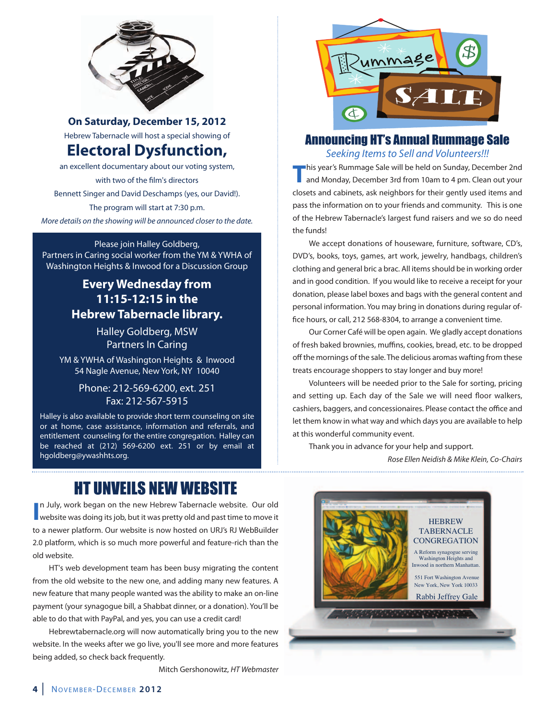

**On Saturday, December 15, 2012**

Hebrew Tabernacle will host a special showing of

## **Electoral Dysfunction,**

an excellent documentary about our voting system, with two of the film's directors Bennett Singer and David Deschamps (yes, our David!). The program will start at 7:30 p.m.

More details on the showing will be announced closer to the date.

Please join Halley Goldberg, Partners in Caring social worker from the YM & YWHA of Washington Heights & Inwood for a Discussion Group

### **Every Wednesday from 11:15-12:15 in the Hebrew Tabernacle library.**

Halley Goldberg, MSW Partners In Caring

YM & YWHA of Washington Heights & Inwood 54 Nagle Avenue, New York, NY 10040

> Phone: 212-569-6200, ext. 251 Fax: 212-567-5915

Halley is also available to provide short term counseling on site or at home, case assistance, information and referrals, and entitlement counseling for the entire congregation. Halley can be reached at (212) 569-6200 ext. 251 or by email at hgoldberg@ywashhts.org.



### Announcing HT's Annual Rummage Sale Seeking Items to Sell and Volunteers!!!

**This year's Rummage Sale will be held on Sunday, December 2nd<br>and Monday, December 3rd from 10am to 4 pm. Clean out your** closets and cabinets, ask neighbors for their gently used items and pass the information on to your friends and community. This is one of the Hebrew Tabernacle's largest fund raisers and we so do need the funds!

We accept donations of houseware, furniture, software, CD's, DVD's, books, toys, games, art work, jewelry, handbags, children's clothing and general bric a brac. All items should be in working order and in good condition. If you would like to receive a receipt for your donation, please label boxes and bags with the general content and personal information. You may bring in donations during regular office hours, or call, 212 568-8304, to arrange a convenient time.

Our Corner Café will be open again. We gladly accept donations of fresh baked brownies, muffins, cookies, bread, etc. to be dropped off the mornings of the sale. The delicious aromas wafting from these treats encourage shoppers to stay longer and buy more!

Volunteers will be needed prior to the Sale for sorting, pricing and setting up. Each day of the Sale we will need floor walkers, cashiers, baggers, and concessionaires. Please contact the office and let them know in what way and which days you are available to help at this wonderful community event.

Thank you in advance for your help and support. Rose Ellen Neidish & Mike Klein, Co-Chairs

# HT UNVEILS NEW WEBSITE

**I** In July, work began on the new Hebrew Tabernacle website. Our old website was doing its job, but it was pretty old and past time to move it n July, work began on the new Hebrew Tabernacle website. Our old to a newer platform. Our website is now hosted on URJ's RJ WebBuilder 2.0 platform, which is so much more powerful and feature-rich than the old website.

HT's web development team has been busy migrating the content from the old website to the new one, and adding many new features. A new feature that many people wanted was the ability to make an on-line payment (your synagogue bill, a Shabbat dinner, or a donation). You'll be able to do that with PayPal, and yes, you can use a credit card!

Hebrewtabernacle.org will now automatically bring you to the new website. In the weeks after we go live, you'll see more and more features being added, so check back frequently.

Mitch Gershonowitz, HT Webmaster

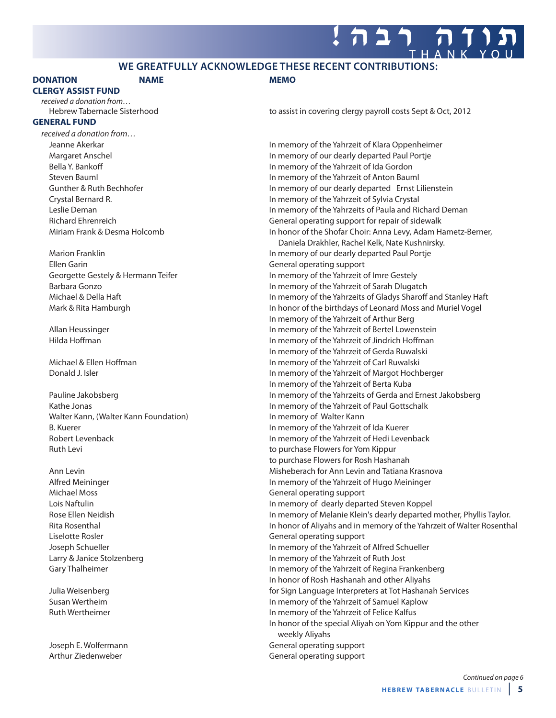#### **WE GREATFULLY ACKNOWLEDGE THESE RECENT CONTRIBUTIONS:**

#### **DONATION NAME MEMO**

#### **CLERGY ASSIST FUND**

received a donation from…

#### **GENERAL FUND**

received a donation from…

Ellen Garin General operating support

Walter Kann, (Walter Kann Foundation) **In memory of Walter Kann** B. Kuerer **In memory of the Yahrzeit of Ida Kuerer** In memory of the Yahrzeit of Ida Kuerer Ruth Levi **All Accords** Flowers for Yom Kippur

Hebrew Tabernacle Sisterhood to assist in covering clergy payroll costs Sept & Oct, 2012

Jeanne Akerkar In memory of the Yahrzeit of Klara Oppenheimer Margaret Anschel **In memory of our dearly departed Paul Portje** Bella Y. Bankoff **In the Yahrzeit of Ida Gordon** In memory of the Yahrzeit of Ida Gordon Steven Bauml In memory of the Yahrzeit of Anton Bauml Gunther & Ruth Bechhofer **In memory of our dearly departed Ernst Lilienstein** Crystal Bernard R. In memory of the Yahrzeit of Sylvia Crystal Leslie Deman **In memory of the Yahrzeits of Paula and Richard Deman** Richard Ehrenreich General operating support for repair of sidewalk Miriam Frank & Desma Holcomb In honor of the Shofar Choir: Anna Levy, Adam Hametz-Berner, Daniela Drakhler, Rachel Kelk, Nate Kushnirsky. Marion Franklin **In the United States and Terminal In memory of our dearly departed Paul Portje** Georgette Gestely & Hermann Teifer **In the Yahramate In memory of the Yahrzeit of Imre Gestely** Barbara Gonzo In memory of the Yahrzeit of Sarah Dlugatch Michael & Della Haft **In memory of the Yahrzeits of Gladys Sharoff** and Stanley Haft Mark & Rita Hamburgh **In honor of the birthdays of Leonard Moss and Muriel Vogel** In honor of the birthdays of Leonard Moss and Muriel Vogel In memory of the Yahrzeit of Arthur Berg Allan Heussinger **In memory of the Yahrzeit of Bertel Lowenstein** Lowenstein Hilda Hoffman **In memory of the Yahrzeit of Jindrich Hoffman** In memory of the Yahrzeit of Gerda Ruwalski Michael & Ellen Hoffman **In Michael & Ellen Hoffman** In memory of the Yahrzeit of Carl Ruwalski Donald J. Isler In memory of the Yahrzeit of Margot Hochberger In memory of the Yahrzeit of Berta Kuba Pauline Jakobsberg In memory of the Yahrzeits of Gerda and Ernest Jakobsberg Kathe Jonas In memory of the Yahrzeit of Paul Gottschalk Robert Levenback **In memory of the Yahrzeit of Hedi Levenback** In memory of the Yahrzeit of Hedi Levenback to purchase Flowers for Rosh Hashanah Ann Levin **Misheberach for Ann Levin and Tatiana Krasnova** Misheberach for Ann Levin and Tatiana Krasnova Alfred Meininger **In memory of the Yahrzeit of Hugo Meininger** In memory of the Yahrzeit of Hugo Meininger Michael Moss General operating support Lois Naftulin **In memory of dearly departed Steven Koppel** In memory of dearly departed Steven Koppel Rose Ellen Neidish In memory of Melanie Klein's dearly departed mother, Phyllis Taylor. Rita Rosenthal In honor of Aliyahs and in memory of the Yahrzeit of Walter Rosenthal Liselotte Rosler General operating support Joseph Schueller In memory of the Yahrzeit of Alfred Schueller Larry & Janice Stolzenberg **In memory of the Yahrzeit of Ruth Jost** Gary Thalheimer **In memory of the Yahrzeit of Regina Frankenberg** In memory of the Yahrzeit of Regina Frankenberg In honor of Rosh Hashanah and other Aliyahs Julia Weisenberg for Sign Language Interpreters at Tot Hashanah Services Susan Wertheim **In memory of the Yahrzeit of Samuel Kaplow** In memory of the Yahrzeit of Samuel Kaplow Ruth Wertheimer **In memory of the Yahrzeit of Felice Kalfus** In honor of the special Aliyah on Yom Kippur and the other weekly Aliyahs Joseph E. Wolfermann General operating support Arthur Ziedenweber General operating support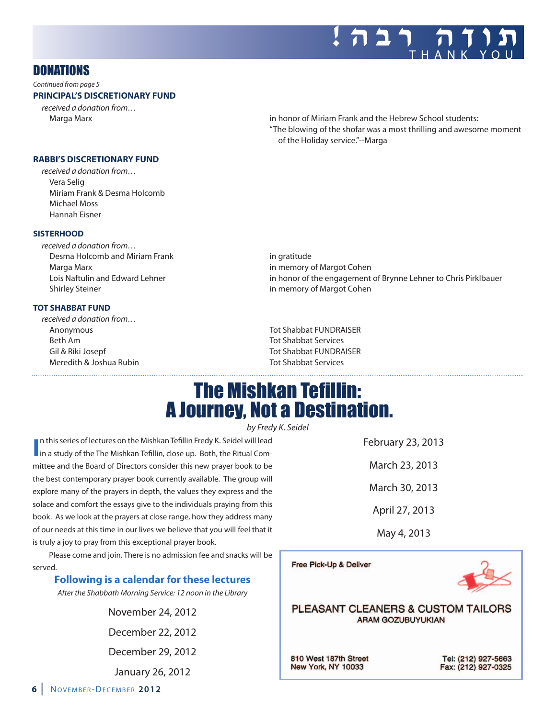

#### DONATIONS

Continued from page 5

#### **PRINCIPAL'S DISCRETIONARY FUND**

received a donation from…

Marga Marx in honor of Miriam Frank and the Hebrew School students: "The blowing of the shofar was a most thrilling and awesome moment of the Holiday service."--Marga

#### **RABBI'S DISCRETIONARY FUND**

received a donation from… Vera Selig Miriam Frank & Desma Holcomb Michael Moss Hannah Eisner

#### **SISTERHOOD**

received a donation from… Desma Holcomb and Miriam Frank **in the same in gratitude** Marga Marx in memory of Margot Cohen Shirley Steiner in memory of Margot Cohen

#### **TOT SHABBAT FUND**

received a donation from… Anonymous Tot Shabbat FUNDRAISER Beth Am Tot Shabbat Services Meredith & Joshua Rubin Tot Shabbat Services

Lois Naftulin and Edward Lehner in honor of the engagement of Brynne Lehner to Chris Pirklbauer

Gil & Riki Josepf Tot Shabbat FUNDRAISER

# The Mishkan Tefillin: A Journey, Not a Destination.

by Fredy K. Seidel

**II** in this series of lectures on the Mishkan Tefillin Fredy K. Seidel will lead<br>in a study of the The Mishkan Tefillin, close up. Both, the Ritual Comn this series of lectures on the Mishkan Tefillin Fredy K. Seidel will lead mittee and the Board of Directors consider this new prayer book to be the best contemporary prayer book currently available. The group will explore many of the prayers in depth, the values they express and the solace and comfort the essays give to the individuals praying from this book. As we look at the prayers at close range, how they address many of our needs at this time in our lives we believe that you will feel that it is truly a joy to pray from this exceptional prayer book.

Please come and join. There is no admission fee and snacks will be served.

#### **Following is a calendar for these lectures**

After the Shabbath Morning Service: 12 noon in the Library

November 24, 2012 December 22, 2012 December 29, 2012 January 26, 2012

February 23, 2013 March 23, 2013 March 30, 2013 April 27, 2013 May 4, 2013

#### Free Pick-Up & Deliver



PLEASANT CLEANERS & CUSTOM TAILORS **ARAM GOZUBUYUKIAN** 

810 West 187th Street **New York, NY 10033** 

Tel: (212) 927-5663 Fax: (212) 927-0325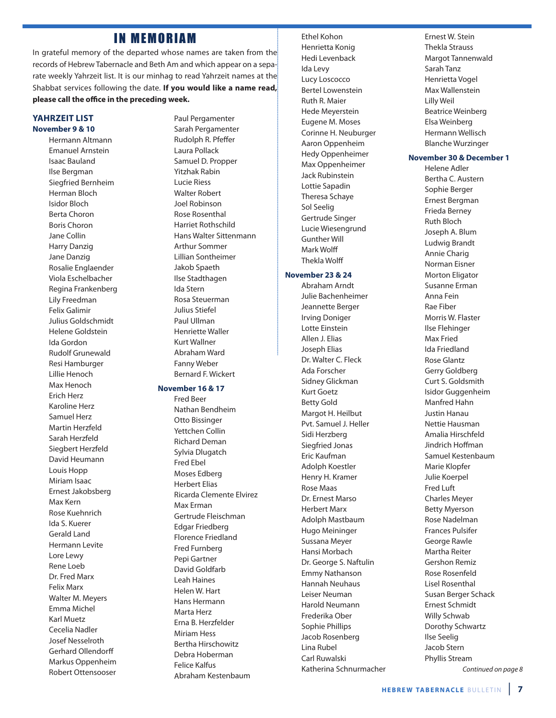### **IN MEMORIAM**

In grateful memory of the departed whose names are taken from the records of Hebrew Tabernacle and Beth Am and which appear on a separate weekly Yahrzeit list. It is our minhag to read Yahrzeit names at the Shabbat services following the date. **If you would like a name read,** please call the office in the preceding week.

#### **YAHRZEIT LIST November 9 & 10**

Hermann Altmann Emanuel Arnstein Isaac Bauland Ilse Bergman Siegfried Bernheim Herman Bloch Isidor Bloch Berta Choron Boris Choron Jane Collin Harry Danzig Jane Danzig Rosalie Englaender Viola Eschelbacher Regina Frankenberg Lily Freedman Felix Galimir Julius Goldschmidt Helene Goldstein Ida Gordon Rudolf Grunewald Resi Hamburger Lillie Henoch Max Henoch Erich Herz Karoline Herz Samuel Herz Martin Herzfeld Sarah Herzfeld Siegbert Herzfeld David Heumann Louis Hopp Miriam Isaac Ernest Jakobsberg Max Kern Rose Kuehnrich Ida S. Kuerer Gerald Land Hermann Levite Lore Lewy Rene Loeb Dr. Fred Marx Felix Marx Walter M. Meyers Emma Michel Karl Muetz Cecelia Nadler Josef Nesselroth **Gerhard Ollendorff** Markus Oppenheim Robert Ottensooser

Paul Pergamenter Sarah Pergamenter Rudolph R. Pfeffer Laura Pollack Samuel D. Propper Yitzhak Rabin Lucie Riess Walter Robert Joel Robinson Rose Rosenthal Harriet Rothschild Hans Walter Sittenmann Arthur Sommer Lillian Sontheimer Jakob Spaeth Ilse Stadthagen Ida Stern Rosa Steuerman Julius Stiefel Paul Ullman Henriette Waller Kurt Wallner Abraham Ward Fanny Weber Bernard F. Wickert

#### **November 16 & 17**

Fred Beer Nathan Bendheim Otto Bissinger Yettchen Collin Richard Deman Sylvia Dlugatch Fred Ebel Moses Edberg Herbert Elias Ricarda Clemente Elvirez Max Erman Gertrude Fleischman Edgar Friedberg Florence Friedland Fred Furnberg Pepi Gartner David Goldfarb Leah Haines Helen W. Hart Hans Hermann Marta Herz Erna B. Herzfelder Miriam Hess Bertha Hirschowitz Debra Hoberman Felice Kalfus Abraham Kestenbaum

Ethel Kohon Henrietta Konig Hedi Levenback Ida Levy Lucy Loscocco Bertel Lowenstein Ruth R. Maier Hede Meyerstein Eugene M. Moses Corinne H. Neuburger Aaron Oppenheim Hedy Oppenheimer Max Oppenheimer Jack Rubinstein Lottie Sapadin Theresa Schaye Sol Seelig Gertrude Singer Lucie Wiesengrund Gunther Will **Mark Wolff** 

#### Thekla Wolff **November 23 & 24**

Abraham Arndt Julie Bachenheimer Jeannette Berger Irving Doniger Lotte Einstein Allen J. Elias Joseph Elias Dr. Walter C. Fleck Ada Forscher Sidney Glickman Kurt Goetz Betty Gold Margot H. Heilbut Pvt. Samuel J. Heller Sidi Herzberg Siegfried Jonas Eric Kaufman Adolph Koestler Henry H. Kramer Rose Maas Dr. Ernest Marso Herbert Marx Adolph Mastbaum Hugo Meininger Sussana Meyer Hansi Morbach Dr. George S. Naftulin Emmy Nathanson Hannah Neuhaus Leiser Neuman Harold Neumann Frederika Ober Sophie Phillips Jacob Rosenberg Lina Rubel Carl Ruwalski Katherina Schnurmacher Ernest W. Stein Thekla Strauss Margot Tannenwald Sarah Tanz Henrietta Vogel Max Wallenstein Lilly Weil Beatrice Weinberg Elsa Weinberg Hermann Wellisch Blanche Wurzinger

#### **November 30 & December 1**

Helene Adler Bertha C. Austern Sophie Berger Ernest Bergman Frieda Berney Ruth Bloch Joseph A. Blum Ludwig Brandt Annie Charig Norman Eisner Morton Eligator Susanne Erman Anna Fein Rae Fiber Morris W. Flaster Ilse Flehinger May Fried Ida Friedland Rose Glantz Gerry Goldberg Curt S. Goldsmith Isidor Guggenheim Manfred Hahn Justin Hanau Nettie Hausman Amalia Hirschfeld Jindrich Hoffman Samuel Kestenbaum Marie Klopfer Julie Koerpel Fred Luft Charles Meyer Betty Myerson Rose Nadelman Frances Pulsifer George Rawle Martha Reiter Gershon Remiz Rose Rosenfeld Lisel Rosenthal Susan Berger Schack Ernest Schmidt Willy Schwab Dorothy Schwartz Ilse Seelig Jacob Stern Phyllis Stream

Continued on page 8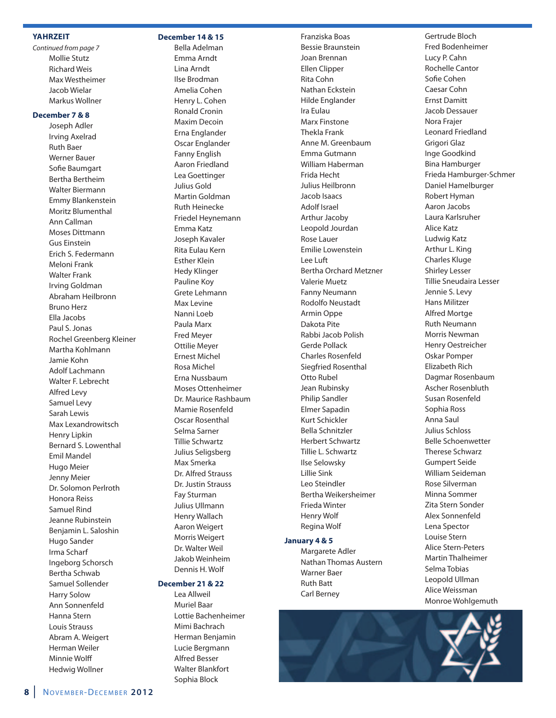#### **YAHRZEIT**

Continued from page 7 Mollie Stutz Richard Weis Max Westheimer Jacob Wielar Markus Wollner

#### **December 7 & 8**

Joseph Adler Irving Axelrad Ruth Baer Werner Bauer Sofie Baumgart Bertha Bertheim Walter Biermann Emmy Blankenstein Moritz Blumenthal Ann Callman Moses Dittmann Gus Einstein Erich S. Federmann Meloni Frank Walter Frank Irving Goldman Abraham Heilbronn Bruno Herz Ella Jacobs Paul S. Jonas Rochel Greenberg Kleiner Martha Kohlmann Jamie Kohn Adolf Lachmann Walter F. Lebrecht Alfred Levy Samuel Levy Sarah Lewis Max Lexandrowitsch Henry Lipkin Bernard S. Lowenthal Emil Mandel Hugo Meier Jenny Meier Dr. Solomon Perlroth Honora Reiss Samuel Rind Jeanne Rubinstein Benjamin L. Saloshin Hugo Sander Irma Scharf Ingeborg Schorsch Bertha Schwab Samuel Sollender Harry Solow Ann Sonnenfeld Hanna Stern Louis Strauss Abram A. Weigert Herman Weiler Minnie Wolff Hedwig Wollner

#### **December 14 & 15**

Bella Adelman

Emma Arndt Lina Arndt Ilse Brodman Amelia Cohen Henry L. Cohen Ronald Cronin Maxim Decoin Erna Englander Oscar Englander Fanny English Aaron Friedland Lea Goettinger Julius Gold Martin Goldman Ruth Heinecke Friedel Heynemann Emma Katz Joseph Kavaler Rita Eulau Kern Esther Klein Hedy Klinger Pauline Koy Grete Lehmann Max Levine Nanni Loeb Paula Marx Fred Meyer Ottilie Meyer Ernest Michel Rosa Michel Erna Nussbaum Moses Ottenheimer Dr. Maurice Rashbaum Mamie Rosenfeld Oscar Rosenthal Selma Sarner Tillie Schwartz Julius Seligsberg Max Smerka Dr. Alfred Strauss Dr. Justin Strauss Fay Sturman Julius Ullmann Henry Wallach Aaron Weigert Morris Weigert Dr. Walter Weil Jakob Weinheim Dennis H. Wolf

#### **December 21 & 22**

Lea Allweil Muriel Baar Lottie Bachenheimer Mimi Bachrach Herman Benjamin Lucie Bergmann Alfred Besser Walter Blankfort Sophia Block

Franziska Boas Bessie Braunstein Joan Brennan Ellen Clipper Rita Cohn Nathan Eckstein Hilde Englander Ira Eulau Marx Finstone Thekla Frank Anne M. Greenbaum Emma Gutmann William Haberman Frida Hecht Julius Heilbronn Jacob Isaacs Adolf Israel Arthur Jacoby Leopold Jourdan Rose Lauer Emilie Lowenstein Lee Luft Bertha Orchard Metzner Valerie Muetz Fanny Neumann Rodolfo Neustadt Armin Oppe Dakota Pite Rabbi Jacob Polish Gerde Pollack Charles Rosenfeld Siegfried Rosenthal Otto Rubel Jean Rubinsky Philip Sandler Elmer Sapadin Kurt Schickler Bella Schnitzler Herbert Schwartz Tillie L. Schwartz Ilse Selowsky Lillie Sink Leo Steindler Bertha Weikersheimer Frieda Winter Henry Wolf Regina Wolf

#### **January 4 & 5**

Margarete Adler Nathan Thomas Austern Warner Baer Ruth Batt Carl Berney



Monroe Wohlgemuth

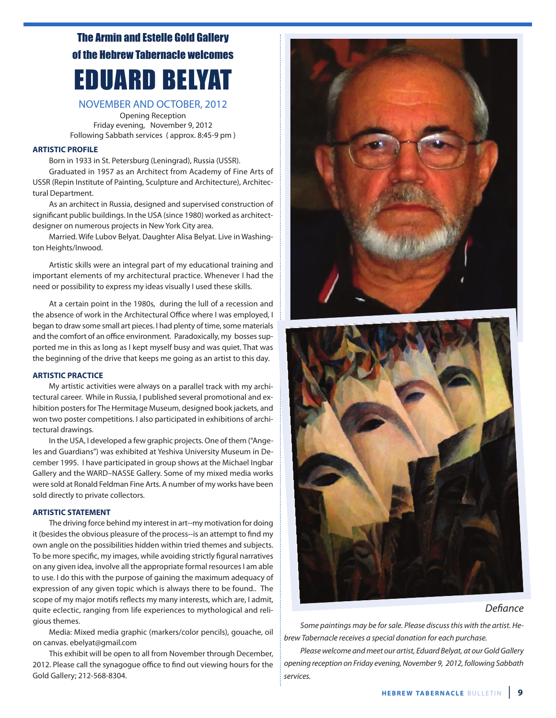### The Armin and Estelle Gold Gallery of the Hebrew Tabernacle welcomes

# EDUARD BELYAT

#### NOVEMBER AND OCTOBER, 2012

Opening Reception Friday evening, November 9, 2012 Following Sabbath services ( approx. 8:45-9 pm )

#### **ARTISTIC PROFILE**

Born in 1933 in St. Petersburg (Leningrad), Russia (USSR).

Graduated in 1957 as an Architect from Academy of Fine Arts of USSR (Repin Institute of Painting, Sculpture and Architecture), Architectural Department.

As an architect in Russia, designed and supervised construction of significant public buildings. In the USA (since 1980) worked as architectdesigner on numerous projects in New York City area.

Married. Wife Lubov Belyat. Daughter Alisa Belyat. Live in Washington Heights/Inwood.

Artistic skills were an integral part of my educational training and important elements of my architectural practice. Whenever I had the need or possibility to express my ideas visually I used these skills.

At a certain point in the 1980s, during the lull of a recession and the absence of work in the Architectural Office where I was employed, I began to draw some small art pieces. I had plenty of time, some materials and the comfort of an office environment. Paradoxically, my bosses supported me in this as long as I kept myself busy and was quiet. That was the beginning of the drive that keeps me going as an artist to this day.

#### **ARTISTIC PRACTICE**

My artistic activities were always on a parallel track with my architectural career. While in Russia, I published several promotional and exhibition posters for The Hermitage Museum, designed book jackets, and won two poster competitions. I also participated in exhibitions of architectural drawings.

In the USA, I developed a few graphic projects. One of them ("Angeles and Guardians") was exhibited at Yeshiva University Museum in December 1995. I have participated in group shows at the Michael Ingbar Gallery and the WARD–NASSE Gallery. Some of my mixed media works were sold at Ronald Feldman Fine Arts. A number of my works have been sold directly to private collectors.

#### **ARTISTIC STATEMENT**

The driving force behind my interest in art--my motivation for doing it (besides the obvious pleasure of the process--is an attempt to find my own angle on the possibilities hidden within tried themes and subjects. To be more specific, my images, while avoiding strictly figural narratives on any given idea, involve all the appropriate formal resources I am able to use. I do this with the purpose of gaining the maximum adequacy of expression of any given topic which is always there to be found.. The scope of my major motifs reflects my many interests, which are, I admit, quite eclectic, ranging from life experiences to mythological and religious themes.

Media: Mixed media graphic (markers/color pencils), gouache, oil on canvas. ebelyat@gmail.com

This exhibit will be open to all from November through December, 2012. Please call the synagogue office to find out viewing hours for the Gold Gallery; 212-568-8304.



#### Defiance

Some paintings may be for sale. Please discuss this with the artist. Hebrew Tabernacle receives a special donation for each purchase.

Please welcome and meet our artist, Eduard Belyat, at our Gold Gallery opening reception on Friday evening, November 9, 2012, following Sabbath services.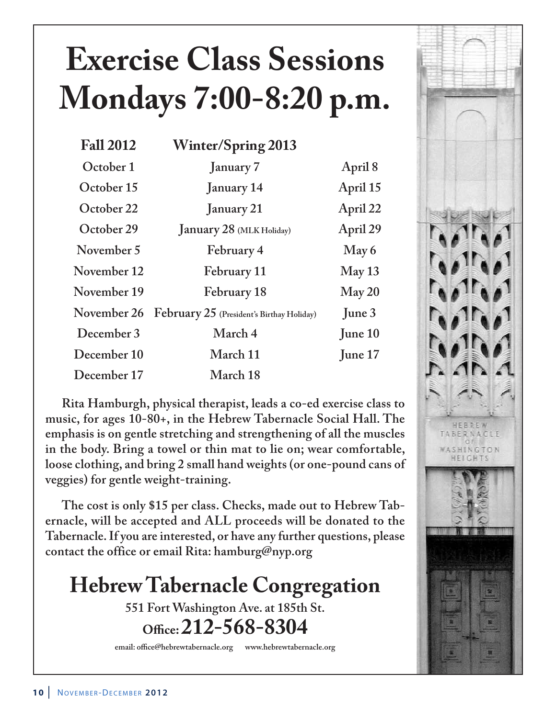# **Exercise Class Sessions Mondays 7:00-8:20 p.m.**

| <b>Fall 2012</b> | <b>Winter/Spring 2013</b>                 |          |
|------------------|-------------------------------------------|----------|
| October 1        | <b>January</b> 7                          | April 8  |
| October 15       | <b>January 14</b>                         | April 15 |
| October 22       | January 21                                | April 22 |
| October 29       | January 28 (MLK Holiday)                  | April 29 |
| November 5       | February 4                                | May 6    |
| November 12      | February 11                               | May 13   |
| November 19      | February 18                               | May 20   |
| November 26      | February 25 (President's Birthay Holiday) | June $3$ |
| December 3       | March 4                                   | June 10  |
| December 10      | March 11                                  | June 17  |
| December 17      | March 18                                  |          |

**Rita Hamburgh, physical therapist, leads a co-ed exercise class to music, for ages 10-80+, in the Hebrew Tabernacle Social Hall. The emphasis is on gentle stretching and strengthening of all the muscles in the body. Bring a towel or thin mat to lie on; wear comfortable, loose clothing, and bring 2 small hand weights (or one-pound cans of veggies) for gentle weight-training.**

**The cost is only \$15 per class. Checks, made out to Hebrew Tabernacle, will be accepted and ALL proceeds will be donated to the Tabernacle. If you are interested, or have any further questions, please contact the office or email Rita: hamburg@nyp.org**

# **Hebrew Tabernacle Congregation**

**551 Fort Washington Ave. at 185th St. O\*ce:212-568-8304**

**email: office@hebrewtabernacle.org www.hebrewtabernacle.org**

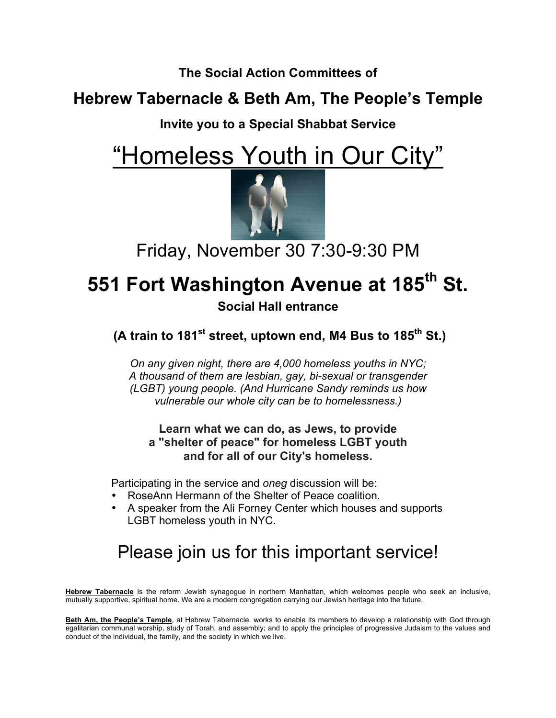**The Social Action Committees of** 

# **Hebrew Tabernacle & Beth Am, The People's Temple**

### **Invite you to a Special Shabbat Service**

# "Homeless Youth in Our City"



Friday, November 30 7:30-9:30 PM

# **551 Fort Washington Avenue at 185th St.**

**Social Hall entrance**

 **(A train to 181st street, uptown end, M4 Bus to 185th St.)**

*On any given night, there are 4,000 homeless youths in NYC; A thousand of them are lesbian, gay, bi-sexual or transgender (LGBT) young people. (And Hurricane Sandy reminds us how vulnerable our whole city can be to homelessness.)*

### **Learn what we can do, as Jews, to provide a "shelter of peace" for homeless LGBT youth and for all of our City's homeless.**

Participating in the service and *oneg* discussion will be:

- RoseAnn Hermann of the Shelter of Peace coalition.
- A speaker from the Ali Forney Center which houses and supports LGBT homeless youth in NYC.

# Please join us for this important service!

**Hebrew Tabernacle** is the reform Jewish synagogue in northern Manhattan, which welcomes people who seek an inclusive, mutually supportive, spiritual home. We are a modern congregation carrying our Jewish heritage into the future.

**Beth Am, the People's Temple**, at Hebrew Tabernacle, works to enable its members to develop a relationship with God through egalitarian communal worship, study of Torah, and assembly; and to apply the principles of progressive Judaism to the values and conduct of the individual, the family, and the society in which we live.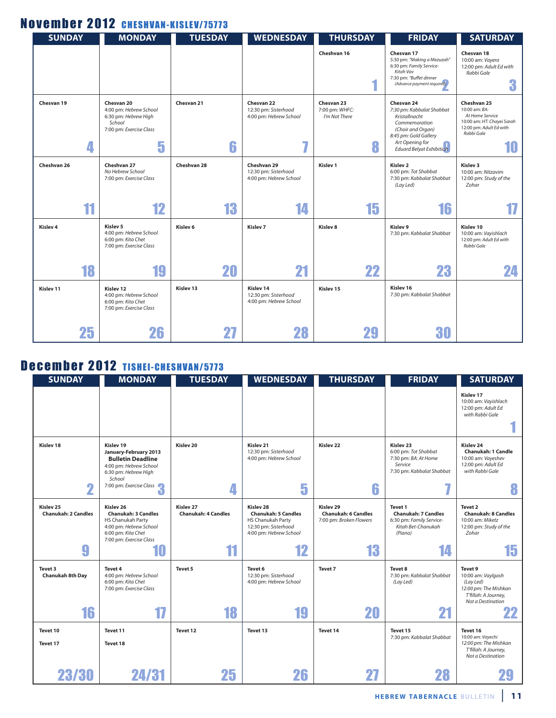## November 2012 CHESHVAN-KISLEV/75773

| <b>SUNDAY</b>       | <b>MONDAY</b>                                                                                          | <b>TUESDAY</b>      | <b>WEDNESDAY</b>                                                   | <b>THURSDAY</b>                                    | <b>FRIDAY</b>                                                                                                                                                                 | <b>SATURDAY</b>                                                                                                              |
|---------------------|--------------------------------------------------------------------------------------------------------|---------------------|--------------------------------------------------------------------|----------------------------------------------------|-------------------------------------------------------------------------------------------------------------------------------------------------------------------------------|------------------------------------------------------------------------------------------------------------------------------|
|                     |                                                                                                        |                     |                                                                    | Cheshvan 16                                        | Chesvan 17<br>5:30 pm: "Making a Mezuzah"<br>6:30 pm: Family Service-<br>Kitah Vav<br>7:30 pm: "Buffet dinner<br>(Advance payment required)                                   | Chesvan 18<br>10:00 am: Vayera<br>12:00 pm: Adult Ed with<br>Rabbi Gale<br>O                                                 |
| Chesvan 19<br>4     | Chesvan 20<br>4:00 pm: Hebrew School<br>6:30 pm: Hebrew High<br>School<br>7:00 pm: Exercise Class<br>5 | Chesvan 21<br>6     | Chesvan 22<br>12:30 pm: Sisterhood<br>4:00 pm: Hebrew School<br>77 | Chesvan 23<br>7:00 pm: WHFC:<br>I'm Not There<br>Н | Chesvan 24<br>7:30 pm: Kabbalat Shabbat<br>Kristallnacht<br>Commemoration<br>(Choir and Organ)<br>8:45 pm: Gold Gallery<br>Art Opening for<br><b>Eduard Belyat Exhibition</b> | Cheshvan 25<br>10:00 am: BA:<br>At Home Service<br>10:00 am: HT: Chayei Sarah<br>12:00 pm: Adult Ed with<br>Rabbi Gale<br>10 |
| Cheshvan 26         | Cheshvan 27<br>No Hebrew School<br>7:00 pm: Exercise Class                                             | Cheshvan 28         | Cheshvan 29<br>12:30 pm: Sisterhood<br>4:00 pm: Hebrew School      | Kislev <sub>1</sub>                                | Kislev <sub>2</sub><br>6:00 pm: Tot Shabbat<br>7:30 pm: Kabbalat Shabbat<br>(Lay Led)                                                                                         | <b>Kisley 3</b><br>10:00 am: Nitzavim<br>12:00 pm: Study of the<br>Zohar                                                     |
| 11                  | 12                                                                                                     | 13                  | 14                                                                 | 15                                                 | 16                                                                                                                                                                            |                                                                                                                              |
| Kislev <sub>4</sub> | Kislev 5<br>4:00 pm: Hebrew School<br>6:00 pm: Kita Chet<br>7:00 pm: Exercise Class                    | Kislev <sub>6</sub> | Kislev 7                                                           | Kislev 8                                           | Kislev 9<br>7:30 pm: Kabbalat Shabbat                                                                                                                                         | Kislev 10<br>10:00 am: Vayishlach<br>12:00 pm: Adult Ed with<br>Rabbi Gale                                                   |
| 18                  | 19                                                                                                     | 20                  | 21                                                                 | 22                                                 | 23                                                                                                                                                                            | 24                                                                                                                           |
| Kislev 11           | Kislev 12<br>4:00 pm: Hebrew School<br>6:00 pm: Kita Chet<br>7:00 pm: Exercise Class                   | Kislev 13           | Kislev 14<br>12:30 pm: Sisterhood<br>4:00 pm: Hebrew School        | Kislev 15                                          | Kislev 16<br>7:30 pm: Kabbalat Shabbat                                                                                                                                        |                                                                                                                              |
| 25                  | 26                                                                                                     |                     | 28                                                                 | 29                                                 | 30                                                                                                                                                                            |                                                                                                                              |

# December 2012 TISHEI-CHESHVAN/5773

| <b>SUNDAY</b>                                      | <b>MONDAY</b>                                                                                                                                             | <b>TUESDAY</b>                                     | <b>WEDNESDAY</b>                                                                                                                 | <b>THURSDAY</b>                                                    | <b>FRIDAY</b>                                                                                                | <b>SATURDAY</b>                                                                                                  |
|----------------------------------------------------|-----------------------------------------------------------------------------------------------------------------------------------------------------------|----------------------------------------------------|----------------------------------------------------------------------------------------------------------------------------------|--------------------------------------------------------------------|--------------------------------------------------------------------------------------------------------------|------------------------------------------------------------------------------------------------------------------|
|                                                    |                                                                                                                                                           |                                                    |                                                                                                                                  |                                                                    |                                                                                                              | Kislev 17<br>10:00 am: Vayishlach<br>12:00 pm: Adult Ed<br>with Rabbi Gale                                       |
| Kislev 18                                          | Kislev 19<br>January-February 2013<br><b>Bulletin Deadline</b><br>4:00 pm: Hebrew School<br>6:30 pm: Hebrew High<br>School                                | Kislev <sub>20</sub>                               | Kislev 21<br>12:30 pm: Sisterhood<br>4:00 pm: Hebrew School                                                                      | Kislev <sub>22</sub>                                               | Kislev <sub>23</sub><br>6:00 pm: Tot Shabbat<br>7:30 pm: BA: At Home<br>Service<br>7:30 pm: Kabbalat Shabbat | Kislev <sub>24</sub><br><b>Chanukah: 1 Candle</b><br>10:00 am: Vayeshev<br>12:00 pm: Adult Ed<br>with Rabbi Gale |
| Ω                                                  | 7:00 pm: Exercise Class<br>u.                                                                                                                             |                                                    | 5                                                                                                                                | 6                                                                  |                                                                                                              | ö                                                                                                                |
| Kislev <sub>25</sub><br><b>Chanukah: 2 Candles</b> | Kislev <sub>26</sub><br><b>Chanukah: 3 Candles</b><br><b>HS Chanukah Party</b><br>4:00 pm: Hebrew School<br>6:00 pm: Kita Chet<br>7:00 pm: Exercise Class | Kislev <sub>27</sub><br><b>Chanukah: 4 Candles</b> | Kislev <sub>28</sub><br><b>Chanukah: 5 Candles</b><br><b>HS Chanukah Party</b><br>12:30 pm: Sisterhood<br>4:00 pm: Hebrew School | Kislev 29<br><b>Chanukah: 6 Candles</b><br>7:00 pm: Broken Flowers | <b>Tevet 1</b><br><b>Chanukah: 7 Candles</b><br>6:30 pm: Family Service-<br>Kitah Bet-Chanukah<br>(Piano)    | Tevet 2<br><b>Chanukah: 8 Candles</b><br>10:00 am: Miketz<br>12:00 pm: Study of the<br>Zohar                     |
| 9                                                  | 10                                                                                                                                                        | 11                                                 | 12                                                                                                                               | 13                                                                 | 14                                                                                                           | 15                                                                                                               |
| Tevet 3<br>Chanukah 8th Day                        | Tevet 4<br>4:00 pm: Hebrew School<br>6:00 pm: Kita Chet<br>7:00 pm: Exercise Class                                                                        | Tevet 5                                            | Tevet 6<br>12:30 pm: Sisterhood<br>4:00 pm: Hebrew School                                                                        | Tevet 7                                                            | Tevet 8<br>7:30 pm: Kabbalat Shabbat<br>(Lay Led)                                                            | Tevet 9<br>10:00 am: Vaylgash<br>(Lay Led)<br>12:00 pm: The Mishkan<br>T'fillah: A Journey,<br>Not a Destination |
| 16                                                 | 17                                                                                                                                                        | 18                                                 | 19                                                                                                                               | 20                                                                 | 21                                                                                                           | 22                                                                                                               |
| Tevet 10<br>Tevet 17                               | Tevet 11<br>Tevet 18                                                                                                                                      | Tevet 12                                           | Tevet 13                                                                                                                         | Tevet 14                                                           | Tevet 15<br>7:30 pm: Kabbalat Shabbat                                                                        | Tevet 16<br>10:00 am: Vayechi<br>12:00 pm: The Mishkan<br>T'fillah: A Journey,<br>Not a Destination              |
| 23/30                                              | 24/31                                                                                                                                                     | 25                                                 | 26                                                                                                                               | 27                                                                 | 28                                                                                                           |                                                                                                                  |